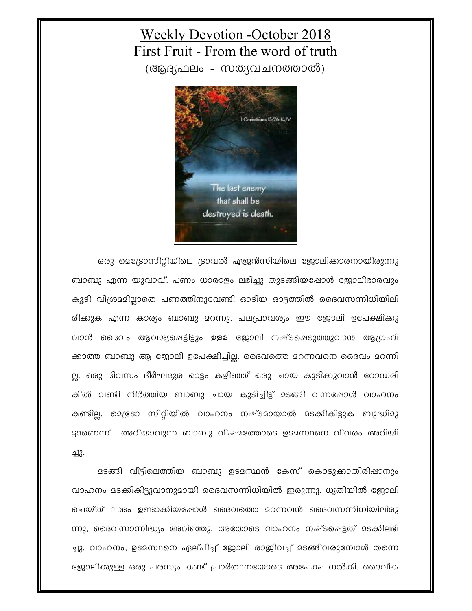## **Weekly Devotion -October 2018** First Fruit - From the word of truth

(ആദ്യഫലം - സത്യവചനത്താൽ)



ഒരു മെട്രോസിറ്റിയിലെ ട്രാവൽ ഏജൻസിയിലെ ജോലിക്കാരനായിരുന്നു ബാബു എന്ന യുവാവ്. പണം ധാരാളം ലഭിച്ചു തുടങ്ങിയപ്പോൾ ജോലിഭാരവും കൂടി വിശ്രമമില്ലാതെ പണത്തിനുവേണ്ടി ഓടിയ ഓട്ടത്തിൽ ദൈവസന്നിധിയിലി രിക്കുക എന്ന കാര്യം ബാബു മറന്നു. പലപ്രാവര്യം ഈ ജോലി ഉപേക്ഷിക്കു വാൻ ദൈവം ആവശ്യപ്പെട്ടിട്ടും ഉള്ള ജോലി നഷ്ടപ്പെടുത്തുവാൻ ആഗ്രഹി ക്കാത്ത ബാബു ആ ജോലി ഉപേക്ഷിച്ചില്ല. ദൈവത്തെ മറന്നവനെ ദൈവം മറന്നി ല്ല. ഒരു ദിവസം ദീർഘദൂര ഓട്ടം കഴിഞ്ഞ് ഒരു ചായ കുടിക്കുവാൻ റോഡരി കിൽ വണ്ടി നിർത്തിയ ബാബു ചായ കുടിച്ചിട്ട് മടങ്ങി വന്നപ്പോൾ വാഹനം കണ്ടില്ല. മെഭ്രടാ സിറ്റിയിൽ വാഹനം നഷ്ടമായാൽ മടക്കികിട്ടുക ബുദ്ധിമു ട്ടാണെന്ന് അറിയാവുന്ന ബാബു വിഷമത്തോടെ ഉടമസ്ഥനെ വിവരം അറിയി ച്ചു.

മടങ്ങി വീട്ടിലെത്തിയ ബാബു ഉടമസ്ഥൻ കേസ് കൊടുക്കാതിരിഷാനും വാഹനം മടക്കികിട്ടുവാനുമായി ദൈവസന്നിധിയിൽ ഇരുന്നു. ധൃതിയിൽ ജോലി ചെയ്ത് ലാഭം ഉണ്ടാക്കിയപ്പോൾ ദൈവത്തെ മറന്നവൻ ദൈവസന്നിധിയിലിരു ന്നു, ദൈവസാന്നിദ്ധ്യം അറിഞ്ഞു. അതോടെ വാഹനം നഷ്ടപ്പെട്ടത് മടക്കിലഭി ച്ചു. വാഹനം, ഉടമസ്ഥനെ ഏല്പിച്ച് ജോലി രാജിവച്ച് മടങ്ങിവരുമ്പോൾ തന്നെ ജോലിക്കുള്ള ഒരു പരസ്യം കണ്ട് പ്രാർത്ഥനയോടെ അപേക്ഷ നൽകി. ദൈവീക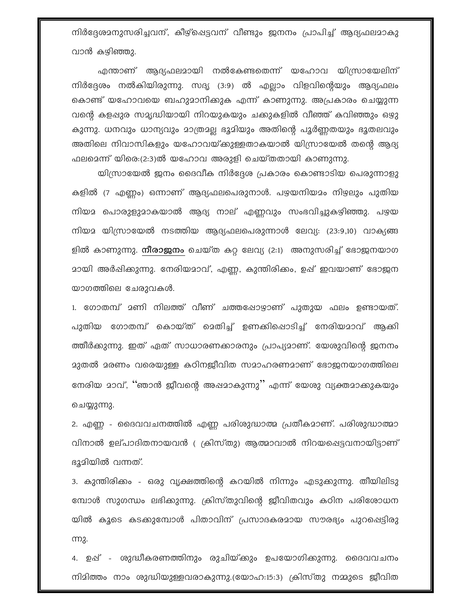നിർദ്ദേശമനുസരിച്ചവന്, കീഴ്ഷെട്ടവന് വീണ്ടും ജനനം പ്രാപിച്ച് ആദ്യഫലമാകു വാൻ കഴിഞ്ഞു.

എന്താണ് ആദ്യഫലമായി നൽകേണ്ടതെന്ന് യഹോവ യിസ്രായേലിന് നിർദ്ദേശം നൽകിയിരുന്നു. സദൃ (3:9) ൽ എല്ലാം വിളവിന്റെയും ആദ്യഫലം കൊണ്ട് യഹോവയെ ബഹുമാനിക്കുക എന്ന് കാണുന്നു. അപ്രകാരം ചെയ്യുന്ന വന്റെ കളപ്പുര സമൃദ്ധിയായി നിറയുകയും ചക്കുകളിൽ വീഞ്ഞ് കവിഞ്ഞും ഒഴു കുന്നു. ധനവും ധാന്യവും മാത്രമല്ല ഭൂമിയും അതിന്റെ പൂർണ്ണതയും ഭൂതലവും അതിലെ നിവാസികളും യഹോവയ്ക്കുള്ളതാകയാൽ യിസ്രായേൽ തന്റെ ആദ്യ ഫലമെന്ന് യിരെ:(2:3)ൽ യഹോവ അരുളി ചെയ്തതായി കാണുന്നു.

യിസ്രായേൽ ജനം ദൈവീക നിർദ്ദേശ പ്രകാരം കൊണ്ടാടിയ പെരുന്നാളു കളിൽ (7 എണ്ണം) ഒന്നാണ് ആദ്യഫലപെരുനാൾ. പഴയനിയമം നിഴലും പുതിയ നിയമ പൊരുളുമാകയാൽ ആദ്യ നാല് എണ്ണവും സംഭവിച്ചുകഴിഞ്ഞു. പഴയ നിയമ യിസ്രായേൽ നടത്തിയ ആദ്യഫലപെരുന്നാൾ ലേവ്യ: (23:9,10) വാക്യങ്ങ ളിൽ കാണുന്നു. **നീരാജനം** ചെയ്ത കറ്റ ലേവ്യ (2:1) അനുസരിച്ച് ഭോജനയാഗ <u>ാായി അർപ്പികുുന്നു. നേരിയമാവ്, എണ്ണ, കുന്തിരിക്കം, ഉപ്പ് ഇവയാണ് ഭോജന</u> യാഗത്തിലെ ചേരുവകൾ.

1. ഗോതമ്പ് 2ണി നിലത്ത് വീണ് ചത്തപ്പോഴാണ് പുതുയ ഫലം ഉണ്ടായത്. പുതിയ ഗോതമ്പ് കൊയ്ത് മെതിച്ച് ഉണക്കിപ്പൊടിച്ച് നേരിയമാവ് ആക്കി ത്തീർക്കുന്നു. ഇത് ഏത് സാധാരണക്കാരനും പ്രാപ്യമാണ്. യേശുവിന്റെ ജനനം 2ുതൽ 2രണം വരെയുള്ള കഠിനജീവിത സ2ാഹരണ2ാണ് ഭോജനയാഗത്തിലെ നേരിയ മാവ്, ''ഞാൻ ജീവന്റെ അഷമാകുന്നു'' എന്ന് യേശു വ്യക്തമാക്കുകയും ചെയ്യുന്നു.

2. എണ്ണ - ദൈവവചനത്തിൽ എണ്ണ പരിശുദ്ധാത്മ പ്രതീകമാണ്. പരിശുദ്ധാത്മാ വിനാൽ ഉല്പാദിതനായവൻ ( ക്രിസ്തു) ആത്മാവാൽ നിറയപ്പെട്ടവനായിട്ടാണ് ഭൂമിയിൽ വന്നത്.

3. കുന്തിരിക്കം - ഒരു വൃക്ഷത്തിന്റെ കറയിൽ നിന്നും എടുക്കുന്നു. തീയിലിടു മ്പോൾ സുഗന്ധം ലഭിക്കുന്നു. ക്രിസ്തുവിന്റെ ജീവിതവും കഠിന പരിശോധന യിൽ കൂടെ കടക്കുമ്പോൾ പിതാവിന് പ്രസാദകരമായ സൗരഭ്യം പുറപ്പെട്ടിരു m<sub>2</sub>.

4. ഉഷ് - ശുദ്ധീകരണത്തിനും രുചിയ്ക്കും ഉപയോഗിക്കുന്നു. ദൈവവചനം നിമിത്തം നാം ശുദ്ധിയുള്ളവരാകുന്നു.(യോഹ:15:3) ക്രിസ്തു നമ്മുടെ ജീവിത